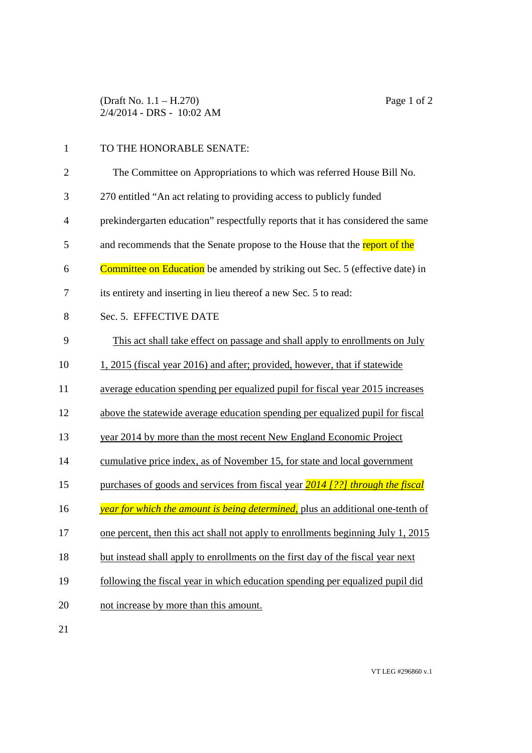## 1 TO THE HONORABLE SENATE:

| $\overline{2}$ | The Committee on Appropriations to which was referred House Bill No.                |
|----------------|-------------------------------------------------------------------------------------|
| 3              | 270 entitled "An act relating to providing access to publicly funded                |
| $\overline{4}$ | prekindergarten education" respectfully reports that it has considered the same     |
| 5              | and recommends that the Senate propose to the House that the report of the          |
| 6              | <b>Committee on Education</b> be amended by striking out Sec. 5 (effective date) in |
| $\tau$         | its entirety and inserting in lieu thereof a new Sec. 5 to read:                    |
| 8              | Sec. 5. EFFECTIVE DATE                                                              |
| 9              | This act shall take effect on passage and shall apply to enrollments on July        |
| 10             | 1, 2015 (fiscal year 2016) and after; provided, however, that if statewide          |
| 11             | average education spending per equalized pupil for fiscal year 2015 increases       |
| 12             | above the statewide average education spending per equalized pupil for fiscal       |
| 13             | year 2014 by more than the most recent New England Economic Project                 |
| 14             | cumulative price index, as of November 15, for state and local government           |
| 15             | purchases of goods and services from fiscal year 2014 [??] through the fiscal       |
| 16             | year for which the amount is being determined, plus an additional one-tenth of      |
| 17             | one percent, then this act shall not apply to enrollments beginning July 1, 2015    |
| 18             | but instead shall apply to enrollments on the first day of the fiscal year next     |
| 19             | following the fiscal year in which education spending per equalized pupil did       |
| 20             | not increase by more than this amount.                                              |
| 21             |                                                                                     |